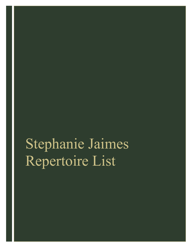# Stephanie Jaimes Repertoire List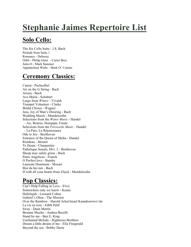## **Stephanie Jaimes Repertoire List**

#### **Solo Cello:**

The Six Cello Suite - J.S. Bach Prelude from Suite 1 Romance - Debussy Orbit - Philip Glass - Carter Brey Julie-O - Mark Summer Appalachian Waltz - Mark O' Conner

#### **Ceremony Classics:**

Canon - Pacheclbel Air on the G String - Bach Ariosa - Bach Ave Maria - Schubert Largo from *Winter -* Vivaldi Trumpet Volunteer - Clarke Bridal Chorus - Wagner Jesu, Joy of Man's Desiring - Bach Wedding March - Mendelssohn Selections from the *Water Music* - Handel - Air, Bouree, Hornpipe, Finale Selections from the *Fireworks Music -* Handel - La Paix, La Réjouissance Ode to Joy - Beethoven Entrance of the Queen of Sheba - Handel Rondeau - Mouret Te Deum - Charpentier Pathetique Sonate, Mvt. 2 - Beethoven Sheep may safely graze - Bach Panis Angelicus - Franck O Perfect love - Barnby Laureate Dominum - Mozart Bist du bei mir - Bach If with all your hearts from *Elijah* - Mendelssohn

#### **Pop Classics:**

Can't Help Falling in Love - Elvis Somewhere only we know - Keane Hallelujah - Leonard Cohen Gabriel's Oboe - The Mission Over the Rainbow - Harold Arlen/Israel Kamakawiwo'ole La vie en rose - Edith Palif Sway - Dean Martin Besame Mucho - Andrea Bocelli Stand by me - Ben E. King Unchained Melody - Righteous Brothers Dream a little dream of me - Ella Fitzgerald Beyond the sea - Bobby Darin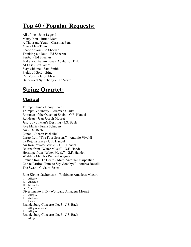#### **Top 40 / Popular Requests:**

All of me - John Legend Marry You - Bruno Mars A Thousand Years - Christina Perri Marry Me - Train Shape of you - Ed Sheeran Thinking out loud - Ed Sheeran Perfect - Ed Sheeran Make you feel my love - Adele/Bob Dylan At Last - Etta James Stay with me - Sam Smith Fields of Gold - Sting I'm Yours - Jason Mraz Bittersweet Symphony - The Verve

#### **String Quartet:**

#### **Classical**

Trumpet Tune - Henry Purcell Trumpet Voluntary - Jeremiah Clarke Entrance of the Queen of Sheba - G.F. Handel Rondeau - Jean Joseph Mouret Jesu, Joy of Man's Desiring - J.S. Bach Ave Maria - Franz Schubert Air - J.S. Bach Canon - Johann Pachelbel Largo from "The Four Seasons" - Antonio Vivaldi La Rejouissance - G.F. Handel Air from "Water Music" - G.F. Handel Bouree from "Water Music" - G.F. Handel Hornpipe from "Water Music" - G.F. Handel Wedding March - Richard Wagner Prelude from Te Deum - Marc-Antoine Charpentier Con te Partiro "Time to Say Goodbye" - Andrea Bocelli The Swan - C. Saint-Seans

Eine Kleine Nachtmusik - Wolfgang Amadeus Mozart I. Allegro II. Andante III. Menuetto IV. Allegro Divertimento in D - Wolfgang Amadeus Mozart I. Allegro II. Andante III. Presto Brandenburg Concerto No. 3 - J.S. Bach I. Allegro moderato II. Allegro Brandenburg Concerto No. 5 - J.S. Bach I. Allegro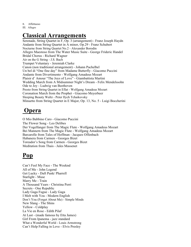II. Affettuoso III. Allegro

#### **Classical Arrangements**

Serenade, String Quartet in F, Op. 3 (arrangement) - Franz Joseph Haydn Andante from String Quartet in A minor, Op.29 - Franz Schubert Nocturne from String Quartet No.2 - Alexander Borodin Allegro Maestoso from The Water Music Suite - George Frideric Handel Bridal Chorus - Richard Wagner Air on the G String - J.S. Bach Trumpet Voluntary - Jeremiah Clarke Canon (non traditional arrangement) - Johann Pachelbel Un bel di "One fine day" from Madame Butterfly - Giacomo Puccini Andante from Divertimento - Wolfgang Amadeus Mozart Plaisir d' Amour "The Joys of Love" - Giambattista Martini Wedding March from A Midsummer Night's Dream - Felix Mendelssohn Ode to Joy - Ludwig van Beethoven Presto from String Quartet in Eflat - Wolfgang Amadeus Mozart Coronation March from the Prophet - Giacomo Meyerbeer Sleeping Beauty Waltz - Peter Ilych Tchaikovsky Minuetto from String Quartet in E Major, Op. 13, No. 5 - Luigi Boccherini

#### **Opera**

O Mio Babbino Caro - Giacomo Puccini The Flower Song - Leo Delibes Der Vogelfanger from The Magic Flute - Wolfgang Amadeus Mozart Bei Mannern from The Magic Flute - Wolfgang Amadeus Mozart Barcarolle from Tales of Hoffman - Jacques Offenbach Habanera from Carmen - Georges Bizet Toreador's Song from Carmen - Georges Bizet Meditation from Thais - Jules Massenet

### **Pop**

Can't Feel My Face - The Weeknd All of Me - John Legend Get Lucky - Daft Punk/ Pharrell Starlight - Muse Marry Me - Train A Thousand Years - Christina Perri Secrets - One Republic Lady Gaga Fugue - Lady Gaga I Melt with You - Modern English Don't You (Forget About Me) - Simple Minds New Slang - The Shins Yellow - Coldplay La Vie en Rose - Edith Pilaf At Last - (made famous by Etta James) Girl From Ipanema - jazz standard What a Wonderful World - Louis Armstrong Can't Help Falling in Love - Elvis Presley